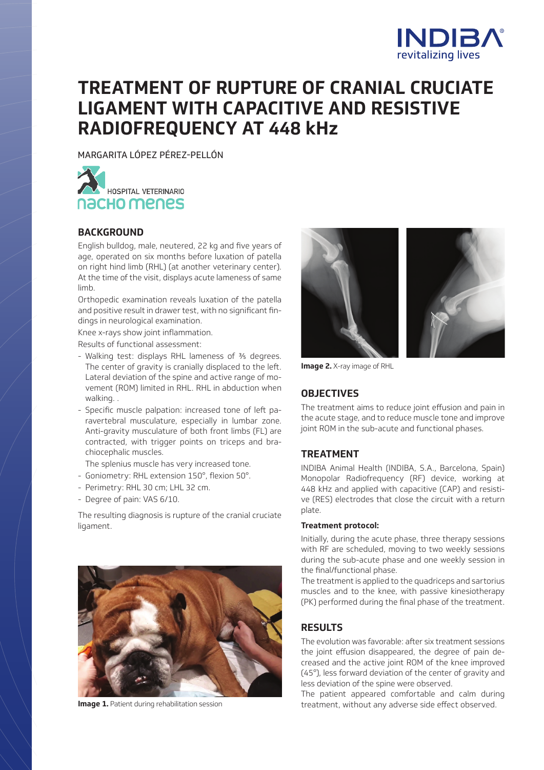

# **TREATMENT OF RUPTURE OF CRANIAL CRUCIATE LIGAMENT WITH CAPACITIVE AND RESISTIVE RADIOFREQUENCY AT 448 kHz**

MARGARITA LÓPEZ PÉREZ-PELLÓN



# **BACKGROUND**

English bulldog, male, neutered, 22 kg and five years of age, operated on six months before luxation of patella on right hind limb (RHL) (at another veterinary center). At the time of the visit, displays acute lameness of same limb.

Orthopedic examination reveals luxation of the patella and positive result in drawer test, with no significant findings in neurological examination.

Knee x-rays show joint inflammation.

Results of functional assessment:

- Walking test: displays RHL lameness of ⅗ degrees. The center of gravity is cranially displaced to the left. Lateral deviation of the spine and active range of movement (ROM) limited in RHL. RHL in abduction when walking.
- Specific muscle palpation: increased tone of left paravertebral musculature, especially in lumbar zone. Anti-gravity musculature of both front limbs (FL) are contracted, with trigger points on triceps and brachiocephalic muscles.
- The splenius muscle has very increased tone.
- Goniometry: RHL extension 150°, flexion 50°.
- Perimetry: RHL 30 cm; LHL 32 cm.
- Degree of pain: VAS 6/10.

The resulting diagnosis is rupture of the cranial cruciate ligament.





**Image 2.** X-ray image of RHL

## **OBJECTIVES**

The treatment aims to reduce joint effusion and pain in the acute stage, and to reduce muscle tone and improve joint ROM in the sub-acute and functional phases.

## **TREATMENT**

INDIBA Animal Health (INDIBA, S.A., Barcelona, Spain) Monopolar Radiofrequency (RF) device, working at 448 kHz and applied with capacitive (CAP) and resistive (RES) electrodes that close the circuit with a return plate.

#### **Treatment protocol:**

Initially, during the acute phase, three therapy sessions with RF are scheduled, moving to two weekly sessions during the sub-acute phase and one weekly session in the final/functional phase.

The treatment is applied to the quadriceps and sartorius muscles and to the knee, with passive kinesiotherapy (PK) performed during the final phase of the treatment.

# **RESULTS**

The evolution was favorable: after six treatment sessions the joint effusion disappeared, the degree of pain decreased and the active joint ROM of the knee improved (45°), less forward deviation of the center of gravity and less deviation of the spine were observed.

The patient appeared comfortable and calm during Image 1. Patient during rehabilitation session the state of treatment, without any adverse side effect observed.